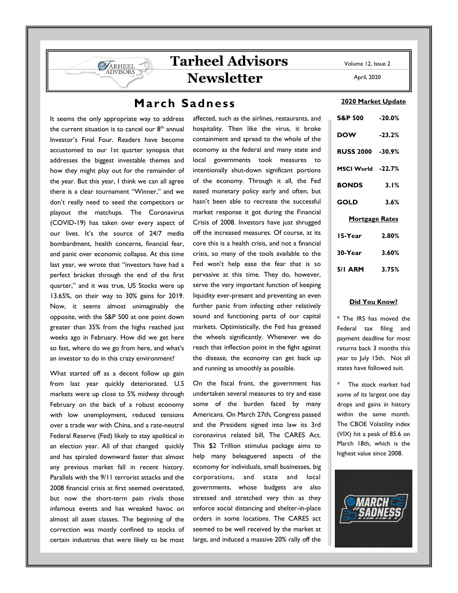April, 2020

# **Tarheel Advisors Newsletter**

## **March Sadness**

It seems the only appropriate way to address the current situation is to cancel our  $8<sup>th</sup>$  annual Investor's Final Four. Readers have become accustomed to our 1st quarter synopsis that addresses the biggest investable themes and how they might play out for the remainder of the year. But this year, I think we can all agree there is a clear tournament "Winner," and we don't really need to seed the competitors or playout the matchups. The Coronavirus (COVID-19) has taken over every aspect of our lives. It's the source of 24/7 media bombardment, health concerns, financial fear, and panic over economic collapse. At this time last year, we wrote that "investors have had a perfect bracket through the end of the first quarter," and it was true, US Stocks were up 13.65%, on their way to 30% gains for 2019. Now, it seems almost unimaginably the opposite, with the S&P 500 at one point down greater than 35% from the highs reached just weeks ago in February. How did we get here so fast, where do we go from here, and what's an investor to do in this crazy environment?

ARHEEL

What started off as a decent follow up gain from last year quickly deteriorated. U.S markets were up close to 5% midway through February on the back of a robust economy with low unemployment, reduced tensions over a trade war with China, and a rate-neutral Federal Reserve (Fed) likely to stay apolitical in an election year. All of that changed quickly and has spiraled downward faster that almost any previous market fall in recent history. Parallels with the 9/11 terrorist attacks and the 2008 financial crisis at first seemed overstated, but now the short-term pain rivals those infamous events and has wreaked havoc on almost all asset classes. The beginning of the correction was mostly confined to stocks of certain industries that were likely to be most affected, such as the airlines, restaurants, and hospitality. Then like the virus, it broke containment and spread to the whole of the economy as the federal and many state and local governments took measures to intentionally shut-down significant portions of the economy. Through it all, the Fed eased monetary policy early and often, but hasn't been able to recreate the successful market response it got during the Financial Crisis of 2008. Investors have just shrugged off the increased measures. Of course, at its core this is a health crisis, and not a financial crisis, so many of the tools available to the Fed won't help ease the fear that is so pervasive at this time. They do, however, serve the very important function of keeping liquidity ever-present and preventing an even further panic from infecting other relatively sound and functioning parts of our capital markets. Optimistically, the Fed has greased the wheels significantly. Whenever we do reach that inflection point in the fight against the disease, the economy can get back up and running as smoothly as possible.

On the fiscal front, the government has undertaken several measures to try and ease some of the burden faced by many Americans. On March 27th, Congress passed and the President signed into law its 3rd coronavirus related bill, The CARES Act. This \$2 Trillion stimulus package aims to help many beleaguered aspects of the economy for individuals, small businesses, big corporations, and state and local governments, whose budgets are also stressed and stretched very thin as they enforce social distancing and shelter-in-place orders in some locations. The CARES act seemed to be well received by the market at large, and induced a massive 20% rally off the

#### **2020 Market Update**

| S&P 500 -20.0%        |          |
|-----------------------|----------|
| <b>DOW</b>            | $-23.2%$ |
| RUSS 2000 -30.9%      |          |
| MSCI World -22.7%     |          |
| <b>BONDS</b>          | 3.1%     |
| GOLD                  | 3.6%     |
| <b>Mortgage Rates</b> |          |
| 15-Year               | 2.80%    |
| 30-Year               | 3.60%    |
| 5/I ARM               | 3.75%    |

#### **Did You Know?**

\* The IRS has moved the Federal tax filing and payment deadline for most returns back 3 months this year to July 15th. Not all states have followed suit.

The stock market had some of its largest one day drops and gains in history within the same month. The CBOE Volatility index (VIX) hit a peak of 85.6 on March 18th, which is the highest value since 2008.